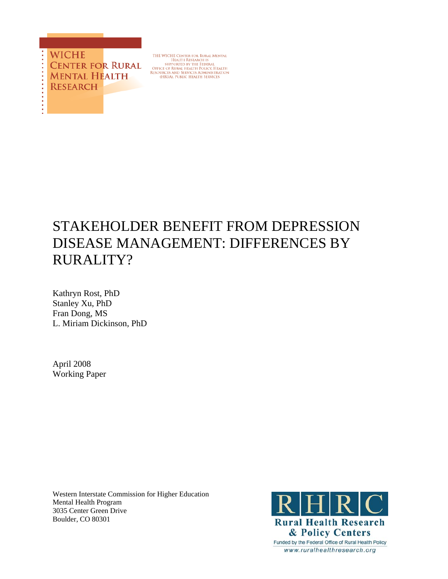

THE WICHE CENTER FOR RURAL MENTAL<br>HEALTH RESEARCH IS<br>SUPPORTED BY THE FEDERAL<br>OFFICE OF RURAL HEALTH POLICY. HEALTH<br>RESOURCES AND SERVICES ADMINISTRATION<br>(HRSA), PUBLIC HEALTH SERVICES

# STAKEHOLDER BENEFIT FROM DEPRESSION DISEASE MANAGEMENT: DIFFERENCES BY RURALITY?

Kathryn Rost, PhD Stanley Xu, PhD Fran Dong, MS L. Miriam Dickinson, PhD

April 2008 Working Paper

Western Interstate Commission for Higher Education Mental Health Program 3035 Center Green Drive Boulder, CO 80301

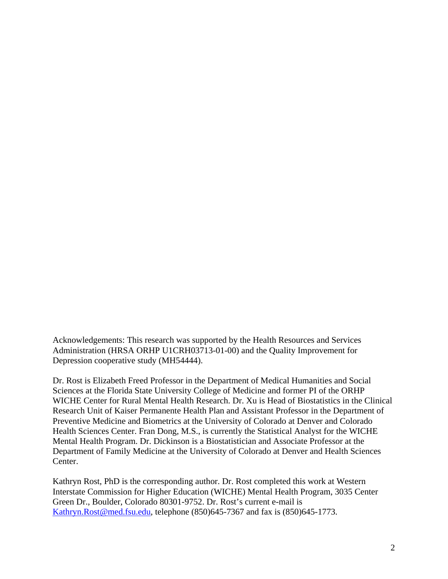Acknowledgements: This research was supported by the Health Resources and Services Administration (HRSA ORHP U1CRH03713-01-00) and the Quality Improvement for Depression cooperative study (MH54444).

Dr. Rost is Elizabeth Freed Professor in the Department of Medical Humanities and Social Sciences at the Florida State University College of Medicine and former PI of the ORHP WICHE Center for Rural Mental Health Research. Dr. Xu is Head of Biostatistics in the Clinical Research Unit of Kaiser Permanente Health Plan and Assistant Professor in the Department of Preventive Medicine and Biometrics at the University of Colorado at Denver and Colorado Health Sciences Center. Fran Dong, M.S., is currently the Statistical Analyst for the WICHE Mental Health Program. Dr. Dickinson is a Biostatistician and Associate Professor at the Department of Family Medicine at the University of Colorado at Denver and Health Sciences Center.

Kathryn Rost, PhD is the corresponding author. Dr. Rost completed this work at Western Interstate Commission for Higher Education (WICHE) Mental Health Program, 3035 Center Green Dr., Boulder, Colorado 80301-9752. Dr. Rost's current e-mail is Kathryn.Rost@med.fsu.edu, telephone (850)645-7367 and fax is (850)645-1773.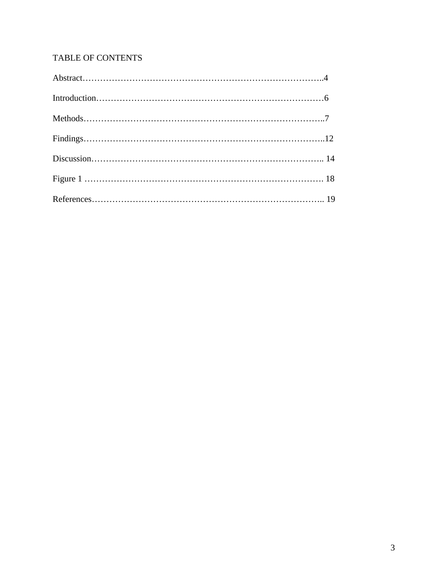# TABLE OF CONTENTS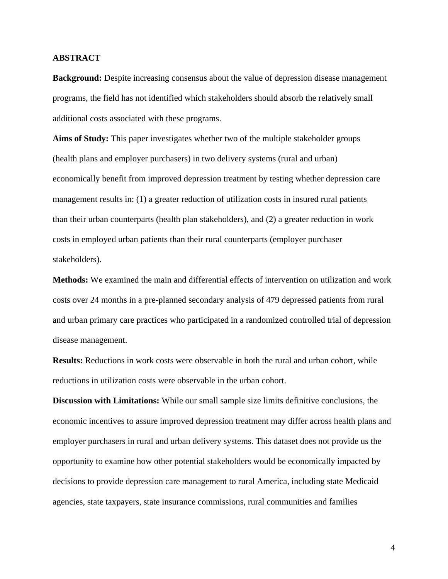# **ABSTRACT**

**Background:** Despite increasing consensus about the value of depression disease management programs, the field has not identified which stakeholders should absorb the relatively small additional costs associated with these programs.

**Aims of Study:** This paper investigates whether two of the multiple stakeholder groups (health plans and employer purchasers) in two delivery systems (rural and urban) economically benefit from improved depression treatment by testing whether depression care management results in: (1) a greater reduction of utilization costs in insured rural patients than their urban counterparts (health plan stakeholders), and (2) a greater reduction in work costs in employed urban patients than their rural counterparts (employer purchaser stakeholders).

**Methods:** We examined the main and differential effects of intervention on utilization and work costs over 24 months in a pre-planned secondary analysis of 479 depressed patients from rural and urban primary care practices who participated in a randomized controlled trial of depression disease management.

**Results:** Reductions in work costs were observable in both the rural and urban cohort, while reductions in utilization costs were observable in the urban cohort.

**Discussion with Limitations:** While our small sample size limits definitive conclusions, the economic incentives to assure improved depression treatment may differ across health plans and employer purchasers in rural and urban delivery systems. This dataset does not provide us the opportunity to examine how other potential stakeholders would be economically impacted by decisions to provide depression care management to rural America, including state Medicaid agencies, state taxpayers, state insurance commissions, rural communities and families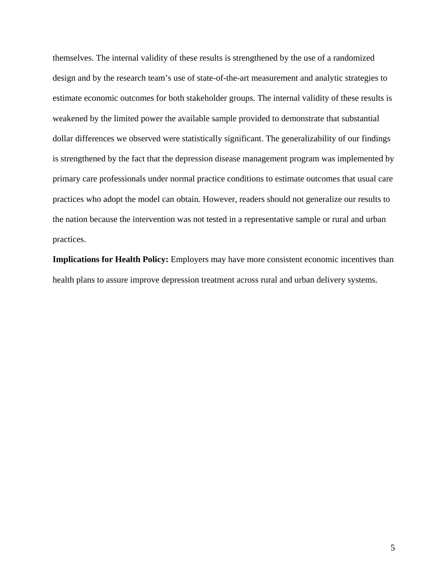themselves. The internal validity of these results is strengthened by the use of a randomized design and by the research team's use of state-of-the-art measurement and analytic strategies to estimate economic outcomes for both stakeholder groups. The internal validity of these results is weakened by the limited power the available sample provided to demonstrate that substantial dollar differences we observed were statistically significant. The generalizability of our findings is strengthened by the fact that the depression disease management program was implemented by primary care professionals under normal practice conditions to estimate outcomes that usual care practices who adopt the model can obtain. However, readers should not generalize our results to the nation because the intervention was not tested in a representative sample or rural and urban practices.

**Implications for Health Policy:** Employers may have more consistent economic incentives than health plans to assure improve depression treatment across rural and urban delivery systems.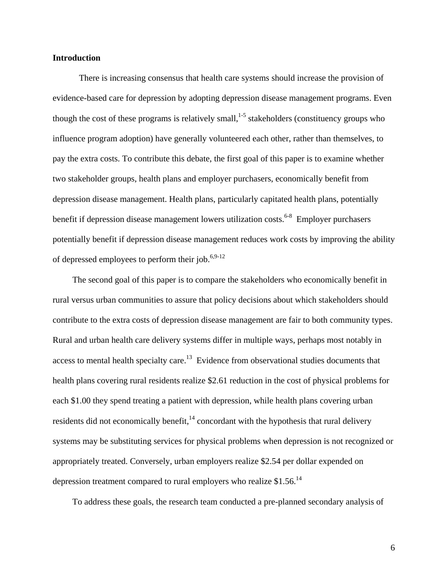## **Introduction**

There is increasing consensus that health care systems should increase the provision of evidence-based care for depression by adopting depression disease management programs. Even though the cost of these programs is relatively small,<sup>1-5</sup> stakeholders (constituency groups who influence program adoption) have generally volunteered each other, rather than themselves, to pay the extra costs. To contribute this debate, the first goal of this paper is to examine whether two stakeholder groups, health plans and employer purchasers, economically benefit from depression disease management. Health plans, particularly capitated health plans, potentially benefit if depression disease management lowers utilization costs.<sup>6-8</sup> Employer purchasers potentially benefit if depression disease management reduces work costs by improving the ability of depressed employees to perform their job.<sup>6,9-12</sup>

The second goal of this paper is to compare the stakeholders who economically benefit in rural versus urban communities to assure that policy decisions about which stakeholders should contribute to the extra costs of depression disease management are fair to both community types. Rural and urban health care delivery systems differ in multiple ways, perhaps most notably in access to mental health specialty care.<sup>13</sup> Evidence from observational studies documents that health plans covering rural residents realize \$2.61 reduction in the cost of physical problems for each \$1.00 they spend treating a patient with depression, while health plans covering urban residents did not economically benefit, $14$  concordant with the hypothesis that rural delivery systems may be substituting services for physical problems when depression is not recognized or appropriately treated. Conversely, urban employers realize \$2.54 per dollar expended on depression treatment compared to rural employers who realize \$1.56.14

To address these goals, the research team conducted a pre-planned secondary analysis of

6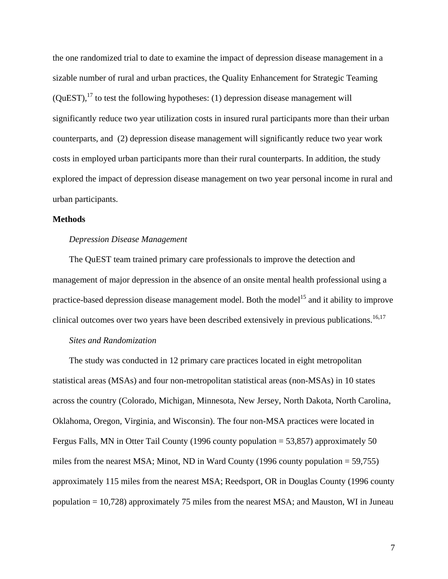the one randomized trial to date to examine the impact of depression disease management in a sizable number of rural and urban practices, the Quality Enhancement for Strategic Teaming  $(QuEST)$ ,  $^{17}$  to test the following hypotheses: (1) depression disease management will significantly reduce two year utilization costs in insured rural participants more than their urban counterparts, and (2) depression disease management will significantly reduce two year work costs in employed urban participants more than their rural counterparts. In addition, the study explored the impact of depression disease management on two year personal income in rural and urban participants.

#### **Methods**

#### *Depression Disease Management*

The QuEST team trained primary care professionals to improve the detection and management of major depression in the absence of an onsite mental health professional using a practice-based depression disease management model. Both the model<sup>15</sup> and it ability to improve clinical outcomes over two years have been described extensively in previous publications.<sup>16,17</sup>

#### *Sites and Randomization*

The study was conducted in 12 primary care practices located in eight metropolitan statistical areas (MSAs) and four non-metropolitan statistical areas (non-MSAs) in 10 states across the country (Colorado, Michigan, Minnesota, New Jersey, North Dakota, North Carolina, Oklahoma, Oregon, Virginia, and Wisconsin). The four non-MSA practices were located in Fergus Falls, MN in Otter Tail County (1996 county population = 53,857) approximately 50 miles from the nearest MSA; Minot, ND in Ward County (1996 county population  $= 59,755$ ) approximately 115 miles from the nearest MSA; Reedsport, OR in Douglas County (1996 county population = 10,728) approximately 75 miles from the nearest MSA; and Mauston, WI in Juneau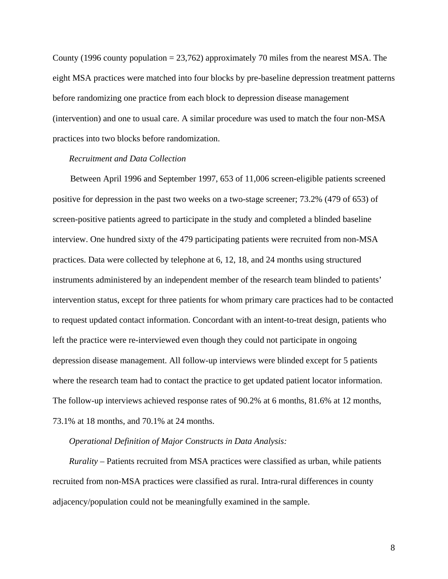County (1996 county population  $= 23,762$ ) approximately 70 miles from the nearest MSA. The eight MSA practices were matched into four blocks by pre-baseline depression treatment patterns before randomizing one practice from each block to depression disease management (intervention) and one to usual care. A similar procedure was used to match the four non-MSA practices into two blocks before randomization.

# *Recruitment and Data Collection*

 Between April 1996 and September 1997, 653 of 11,006 screen-eligible patients screened positive for depression in the past two weeks on a two-stage screener; 73.2% (479 of 653) of screen-positive patients agreed to participate in the study and completed a blinded baseline interview. One hundred sixty of the 479 participating patients were recruited from non-MSA practices. Data were collected by telephone at 6, 12, 18, and 24 months using structured instruments administered by an independent member of the research team blinded to patients' intervention status, except for three patients for whom primary care practices had to be contacted to request updated contact information. Concordant with an intent-to-treat design, patients who left the practice were re-interviewed even though they could not participate in ongoing depression disease management. All follow-up interviews were blinded except for 5 patients where the research team had to contact the practice to get updated patient locator information. The follow-up interviews achieved response rates of 90.2% at 6 months, 81.6% at 12 months, 73.1% at 18 months, and 70.1% at 24 months.

# *Operational Definition of Major Constructs in Data Analysis:*

*Rurality* – Patients recruited from MSA practices were classified as urban, while patients recruited from non-MSA practices were classified as rural. Intra-rural differences in county adjacency/population could not be meaningfully examined in the sample.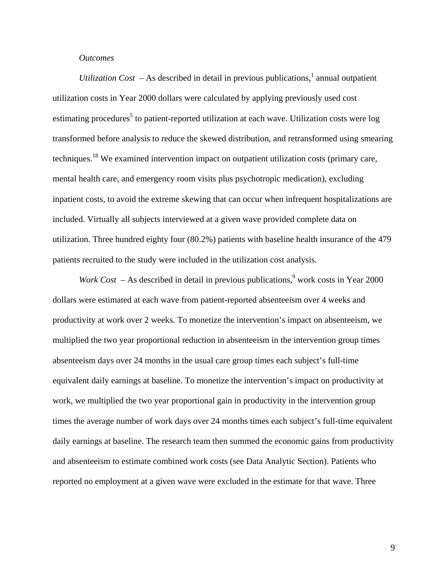# *Outcomes*

*Utilization Cost –* As described in detail in previous publications,<sup>1</sup> annual outpatient utilization costs in Year 2000 dollars were calculated by applying previously used cost estimating procedures<sup>5</sup> to patient-reported utilization at each wave. Utilization costs were log transformed before analysis to reduce the skewed distribution, and retransformed using smearing techniques.<sup>18</sup> We examined intervention impact on outpatient utilization costs (primary care, mental health care, and emergency room visits plus psychotropic medication), excluding inpatient costs, to avoid the extreme skewing that can occur when infrequent hospitalizations are included. Virtually all subjects interviewed at a given wave provided complete data on utilization. Three hundred eighty four (80.2%) patients with baseline health insurance of the 479 patients recruited to the study were included in the utilization cost analysis.

*Work Cost –* As described in detail in previous publications, work costs in Year 2000 dollars were estimated at each wave from patient-reported absenteeism over 4 weeks and productivity at work over 2 weeks. To monetize the intervention's impact on absenteeism, we multiplied the two year proportional reduction in absenteeism in the intervention group times absenteeism days over 24 months in the usual care group times each subject's full-time equivalent daily earnings at baseline. To monetize the intervention's impact on productivity at work, we multiplied the two year proportional gain in productivity in the intervention group times the average number of work days over 24 months times each subject's full-time equivalent daily earnings at baseline. The research team then summed the economic gains from productivity and absenteeism to estimate combined work costs (see Data Analytic Section). Patients who reported no employment at a given wave were excluded in the estimate for that wave. Three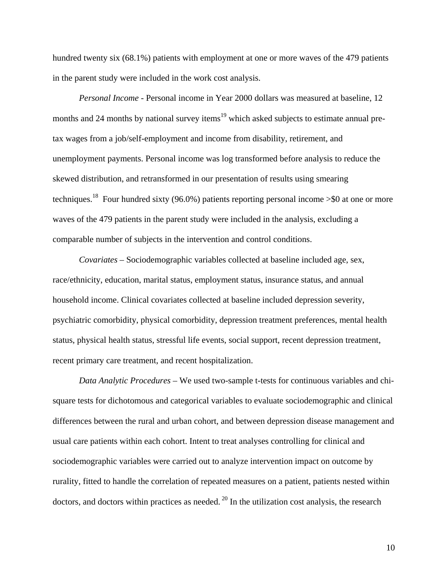hundred twenty six (68.1%) patients with employment at one or more waves of the 479 patients in the parent study were included in the work cost analysis.

*Personal Income* - Personal income in Year 2000 dollars was measured at baseline, 12 months and 24 months by national survey items<sup>19</sup> which asked subjects to estimate annual pretax wages from a job/self-employment and income from disability, retirement, and unemployment payments. Personal income was log transformed before analysis to reduce the skewed distribution, and retransformed in our presentation of results using smearing techniques.<sup>18</sup> Four hundred sixty (96.0%) patients reporting personal income  $\gg 0$  at one or more waves of the 479 patients in the parent study were included in the analysis, excluding a comparable number of subjects in the intervention and control conditions.

*Covariates –* Sociodemographic variables collected at baseline included age, sex, race/ethnicity, education, marital status, employment status, insurance status, and annual household income. Clinical covariates collected at baseline included depression severity, psychiatric comorbidity, physical comorbidity, depression treatment preferences, mental health status, physical health status, stressful life events, social support, recent depression treatment, recent primary care treatment, and recent hospitalization.

*Data Analytic Procedures –* We used two-sample t-tests for continuous variables and chisquare tests for dichotomous and categorical variables to evaluate sociodemographic and clinical differences between the rural and urban cohort, and between depression disease management and usual care patients within each cohort. Intent to treat analyses controlling for clinical and sociodemographic variables were carried out to analyze intervention impact on outcome by rurality, fitted to handle the correlation of repeated measures on a patient, patients nested within doctors, and doctors within practices as needed.  $20$  In the utilization cost analysis, the research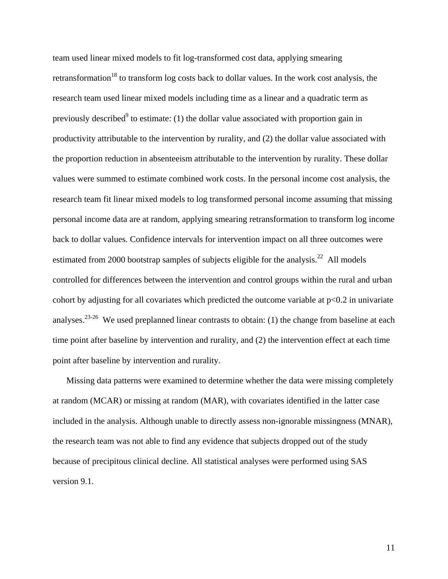team used linear mixed models to fit log-transformed cost data, applying smearing retransformation<sup>18</sup> to transform log costs back to dollar values. In the work cost analysis, the research team used linear mixed models including time as a linear and a quadratic term as previously described<sup>9</sup> to estimate: (1) the dollar value associated with proportion gain in productivity attributable to the intervention by rurality, and (2) the dollar value associated with the proportion reduction in absenteeism attributable to the intervention by rurality. These dollar values were summed to estimate combined work costs. In the personal income cost analysis, the research team fit linear mixed models to log transformed personal income assuming that missing personal income data are at random, applying smearing retransformation to transform log income back to dollar values. Confidence intervals for intervention impact on all three outcomes were estimated from 2000 bootstrap samples of subjects eligible for the analysis.<sup>22</sup> All models controlled for differences between the intervention and control groups within the rural and urban cohort by adjusting for all covariates which predicted the outcome variable at  $p<0.2$  in univariate analyses.<sup>23-26</sup> We used preplanned linear contrasts to obtain: (1) the change from baseline at each time point after baseline by intervention and rurality, and (2) the intervention effect at each time point after baseline by intervention and rurality.

Missing data patterns were examined to determine whether the data were missing completely at random (MCAR) or missing at random (MAR), with covariates identified in the latter case included in the analysis. Although unable to directly assess non-ignorable missingness (MNAR), the research team was not able to find any evidence that subjects dropped out of the study because of precipitous clinical decline. All statistical analyses were performed using SAS version 9.1.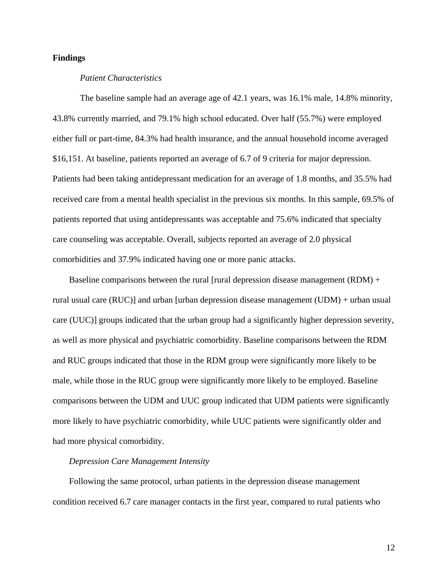# **Findings**

#### *Patient Characteristics*

The baseline sample had an average age of 42.1 years, was 16.1% male, 14.8% minority, 43.8% currently married, and 79.1% high school educated. Over half (55.7%) were employed either full or part-time, 84.3% had health insurance, and the annual household income averaged \$16,151. At baseline, patients reported an average of 6.7 of 9 criteria for major depression. Patients had been taking antidepressant medication for an average of 1.8 months, and 35.5% had received care from a mental health specialist in the previous six months. In this sample, 69.5% of patients reported that using antidepressants was acceptable and 75.6% indicated that specialty care counseling was acceptable. Overall, subjects reported an average of 2.0 physical comorbidities and 37.9% indicated having one or more panic attacks.

Baseline comparisons between the rural [rural depression disease management  $(RDM)$  + rural usual care (RUC)] and urban [urban depression disease management (UDM) + urban usual care (UUC)] groups indicated that the urban group had a significantly higher depression severity, as well as more physical and psychiatric comorbidity. Baseline comparisons between the RDM and RUC groups indicated that those in the RDM group were significantly more likely to be male, while those in the RUC group were significantly more likely to be employed. Baseline comparisons between the UDM and UUC group indicated that UDM patients were significantly more likely to have psychiatric comorbidity, while UUC patients were significantly older and had more physical comorbidity.

# *Depression Care Management Intensity*

Following the same protocol, urban patients in the depression disease management condition received 6.7 care manager contacts in the first year, compared to rural patients who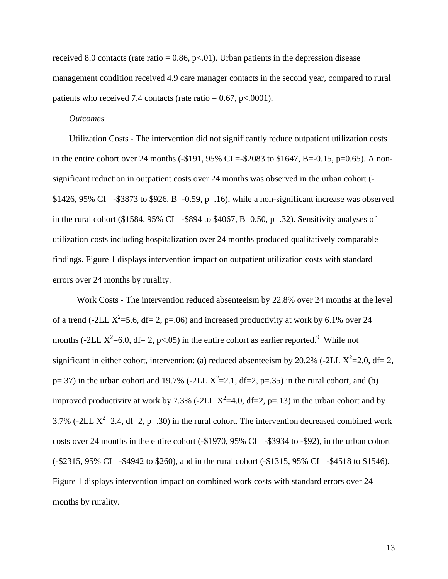received 8.0 contacts (rate ratio =  $0.86$ , p<.01). Urban patients in the depression disease management condition received 4.9 care manager contacts in the second year, compared to rural patients who received 7.4 contacts (rate ratio =  $0.67$ , p<.0001).

# *Outcomes*

Utilization Costs - The intervention did not significantly reduce outpatient utilization costs in the entire cohort over 24 months (-\$191, 95% CI =-\$2083 to \$1647, B=-0.15, p=0.65). A nonsignificant reduction in outpatient costs over 24 months was observed in the urban cohort (- \$1426, 95% CI =-\$3873 to \$926, B=-0.59, p=.16), while a non-significant increase was observed in the rural cohort (\$1584,  $95\%$  CI =-\$894 to \$4067, B=0.50, p=.32). Sensitivity analyses of utilization costs including hospitalization over 24 months produced qualitatively comparable findings. Figure 1 displays intervention impact on outpatient utilization costs with standard errors over 24 months by rurality.

 Work Costs - The intervention reduced absenteeism by 22.8% over 24 months at the level of a trend (-2LL  $X^2$ =5.6, df= 2, p=.06) and increased productivity at work by 6.1% over 24 months (-2LL  $X^2$ =6.0, df= 2, p<.05) in the entire cohort as earlier reported.<sup>9</sup> While not significant in either cohort, intervention: (a) reduced absenteeism by 20.2% (-2LL  $X^2$ =2.0, df= 2, p=.37) in the urban cohort and 19.7% (-2LL  $X^2$ =2.1, df=2, p=.35) in the rural cohort, and (b) improved productivity at work by 7.3% (-2LL  $X^2=4.0$ , df=2, p=.13) in the urban cohort and by 3.7% (-2LL  $X^2$ =2.4, df=2, p=.30) in the rural cohort. The intervention decreased combined work costs over 24 months in the entire cohort (-\$1970, 95% CI =-\$3934 to -\$92), in the urban cohort (-\$2315, 95% CI =-\$4942 to \$260), and in the rural cohort (-\$1315, 95% CI =-\$4518 to \$1546). Figure 1 displays intervention impact on combined work costs with standard errors over 24 months by rurality.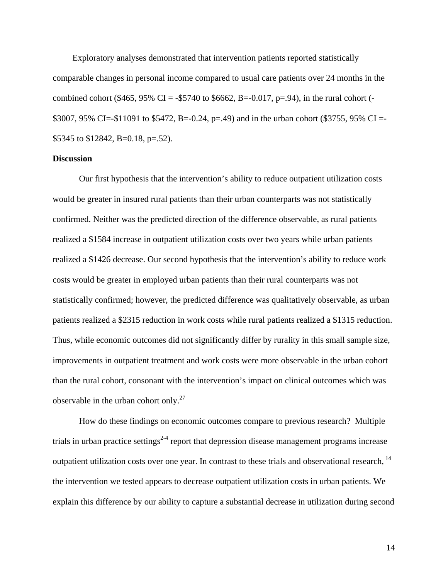Exploratory analyses demonstrated that intervention patients reported statistically comparable changes in personal income compared to usual care patients over 24 months in the combined cohort (\$465, 95% CI = -\$5740 to \$6662, B=-0.017, p=.94), in the rural cohort (-\$3007, 95% CI=-\$11091 to \$5472, B=-0.24, p=.49) and in the urban cohort (\$3755, 95% CI =- \$5345 to \$12842, B=0.18, p=.52).

#### **Discussion**

Our first hypothesis that the intervention's ability to reduce outpatient utilization costs would be greater in insured rural patients than their urban counterparts was not statistically confirmed. Neither was the predicted direction of the difference observable, as rural patients realized a \$1584 increase in outpatient utilization costs over two years while urban patients realized a \$1426 decrease. Our second hypothesis that the intervention's ability to reduce work costs would be greater in employed urban patients than their rural counterparts was not statistically confirmed; however, the predicted difference was qualitatively observable, as urban patients realized a \$2315 reduction in work costs while rural patients realized a \$1315 reduction. Thus, while economic outcomes did not significantly differ by rurality in this small sample size, improvements in outpatient treatment and work costs were more observable in the urban cohort than the rural cohort, consonant with the intervention's impact on clinical outcomes which was observable in the urban cohort only. $27$ 

How do these findings on economic outcomes compare to previous research? Multiple trials in urban practice settings<sup>2-4</sup> report that depression disease management programs increase outpatient utilization costs over one year. In contrast to these trials and observational research, 14 the intervention we tested appears to decrease outpatient utilization costs in urban patients. We explain this difference by our ability to capture a substantial decrease in utilization during second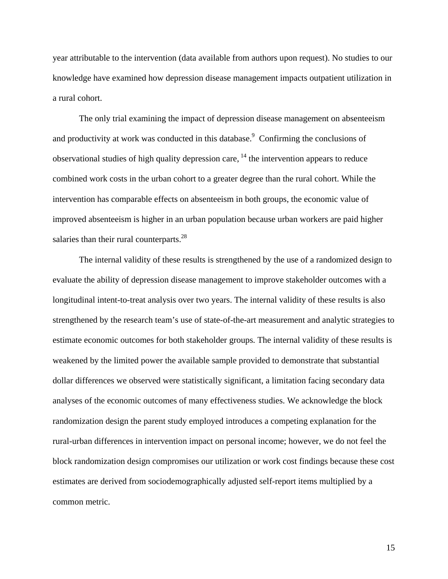year attributable to the intervention (data available from authors upon request). No studies to our knowledge have examined how depression disease management impacts outpatient utilization in a rural cohort.

The only trial examining the impact of depression disease management on absenteeism and productivity at work was conducted in this database. $\degree$  Confirming the conclusions of observational studies of high quality depression care,  $^{14}$  the intervention appears to reduce combined work costs in the urban cohort to a greater degree than the rural cohort. While the intervention has comparable effects on absenteeism in both groups, the economic value of improved absenteeism is higher in an urban population because urban workers are paid higher salaries than their rural counterparts.<sup>28</sup>

The internal validity of these results is strengthened by the use of a randomized design to evaluate the ability of depression disease management to improve stakeholder outcomes with a longitudinal intent-to-treat analysis over two years. The internal validity of these results is also strengthened by the research team's use of state-of-the-art measurement and analytic strategies to estimate economic outcomes for both stakeholder groups. The internal validity of these results is weakened by the limited power the available sample provided to demonstrate that substantial dollar differences we observed were statistically significant, a limitation facing secondary data analyses of the economic outcomes of many effectiveness studies. We acknowledge the block randomization design the parent study employed introduces a competing explanation for the rural-urban differences in intervention impact on personal income; however, we do not feel the block randomization design compromises our utilization or work cost findings because these cost estimates are derived from sociodemographically adjusted self-report items multiplied by a common metric.

15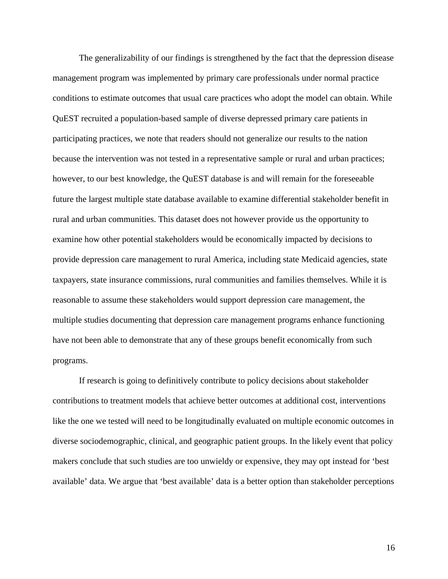The generalizability of our findings is strengthened by the fact that the depression disease management program was implemented by primary care professionals under normal practice conditions to estimate outcomes that usual care practices who adopt the model can obtain. While QuEST recruited a population-based sample of diverse depressed primary care patients in participating practices, we note that readers should not generalize our results to the nation because the intervention was not tested in a representative sample or rural and urban practices; however, to our best knowledge, the QuEST database is and will remain for the foreseeable future the largest multiple state database available to examine differential stakeholder benefit in rural and urban communities. This dataset does not however provide us the opportunity to examine how other potential stakeholders would be economically impacted by decisions to provide depression care management to rural America, including state Medicaid agencies, state taxpayers, state insurance commissions, rural communities and families themselves. While it is reasonable to assume these stakeholders would support depression care management, the multiple studies documenting that depression care management programs enhance functioning have not been able to demonstrate that any of these groups benefit economically from such programs.

If research is going to definitively contribute to policy decisions about stakeholder contributions to treatment models that achieve better outcomes at additional cost, interventions like the one we tested will need to be longitudinally evaluated on multiple economic outcomes in diverse sociodemographic, clinical, and geographic patient groups. In the likely event that policy makers conclude that such studies are too unwieldy or expensive, they may opt instead for 'best available' data. We argue that 'best available' data is a better option than stakeholder perceptions

16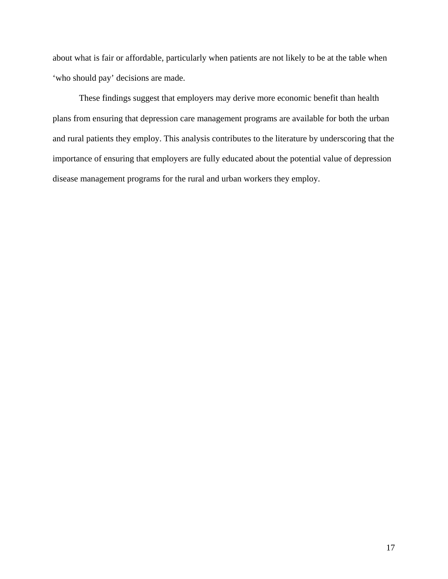about what is fair or affordable, particularly when patients are not likely to be at the table when 'who should pay' decisions are made.

These findings suggest that employers may derive more economic benefit than health plans from ensuring that depression care management programs are available for both the urban and rural patients they employ. This analysis contributes to the literature by underscoring that the importance of ensuring that employers are fully educated about the potential value of depression disease management programs for the rural and urban workers they employ.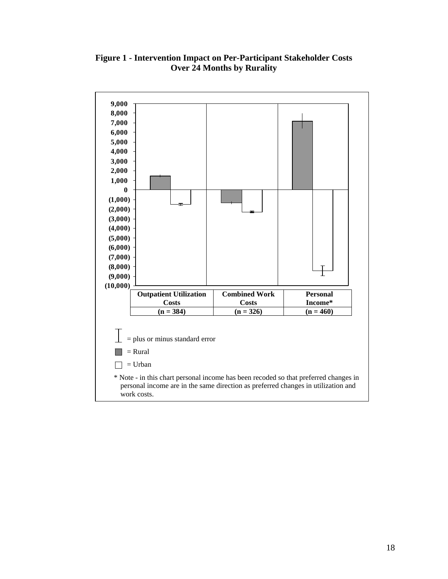# **Figure 1 - Intervention Impact on Per-Participant Stakeholder Costs Over 24 Months by Rurality**

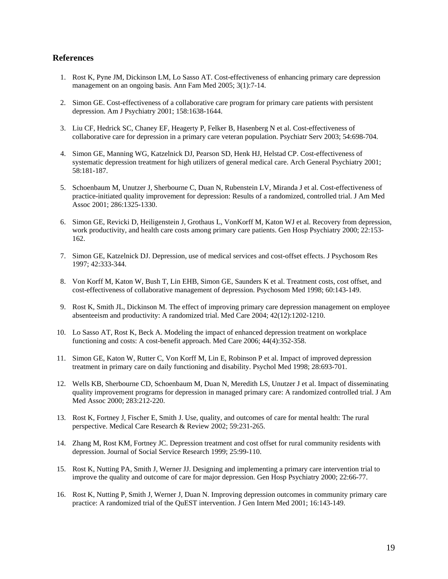#### **References**

- 1. Rost K, Pyne JM, Dickinson LM, Lo Sasso AT. Cost-effectiveness of enhancing primary care depression management on an ongoing basis. Ann Fam Med 2005; 3(1):7-14.
- 2. Simon GE. Cost-effectiveness of a collaborative care program for primary care patients with persistent depression. Am J Psychiatry 2001; 158:1638-1644.
- 3. Liu CF, Hedrick SC, Chaney EF, Heagerty P, Felker B, Hasenberg N et al. Cost-effectiveness of collaborative care for depression in a primary care veteran population. Psychiatr Serv 2003; 54:698-704.
- 4. Simon GE, Manning WG, Katzelnick DJ, Pearson SD, Henk HJ, Helstad CP. Cost-effectiveness of systematic depression treatment for high utilizers of general medical care. Arch General Psychiatry 2001; 58:181-187.
- 5. Schoenbaum M, Unutzer J, Sherbourne C, Duan N, Rubenstein LV, Miranda J et al. Cost-effectiveness of practice-initiated quality improvement for depression: Results of a randomized, controlled trial. J Am Med Assoc 2001; 286:1325-1330.
- 6. Simon GE, Revicki D, Heiligenstein J, Grothaus L, VonKorff M, Katon WJ et al. Recovery from depression, work productivity, and health care costs among primary care patients. Gen Hosp Psychiatry 2000; 22:153- 162.
- 7. Simon GE, Katzelnick DJ. Depression, use of medical services and cost-offset effects. J Psychosom Res 1997; 42:333-344.
- 8. Von Korff M, Katon W, Bush T, Lin EHB, Simon GE, Saunders K et al. Treatment costs, cost offset, and cost-effectiveness of collaborative management of depression. Psychosom Med 1998; 60:143-149.
- 9. Rost K, Smith JL, Dickinson M. The effect of improving primary care depression management on employee absenteeism and productivity: A randomized trial. Med Care 2004; 42(12):1202-1210.
- 10. Lo Sasso AT, Rost K, Beck A. Modeling the impact of enhanced depression treatment on workplace functioning and costs: A cost-benefit approach. Med Care 2006; 44(4):352-358.
- 11. Simon GE, Katon W, Rutter C, Von Korff M, Lin E, Robinson P et al. Impact of improved depression treatment in primary care on daily functioning and disability. Psychol Med 1998; 28:693-701.
- 12. Wells KB, Sherbourne CD, Schoenbaum M, Duan N, Meredith LS, Unutzer J et al. Impact of disseminating quality improvement programs for depression in managed primary care: A randomized controlled trial. J Am Med Assoc 2000; 283:212-220.
- 13. Rost K, Fortney J, Fischer E, Smith J. Use, quality, and outcomes of care for mental health: The rural perspective. Medical Care Research & Review 2002; 59:231-265.
- 14. Zhang M, Rost KM, Fortney JC. Depression treatment and cost offset for rural community residents with depression. Journal of Social Service Research 1999; 25:99-110.
- 15. Rost K, Nutting PA, Smith J, Werner JJ. Designing and implementing a primary care intervention trial to improve the quality and outcome of care for major depression. Gen Hosp Psychiatry 2000; 22:66-77.
- 16. Rost K, Nutting P, Smith J, Werner J, Duan N. Improving depression outcomes in community primary care practice: A randomized trial of the QuEST intervention. J Gen Intern Med 2001; 16:143-149.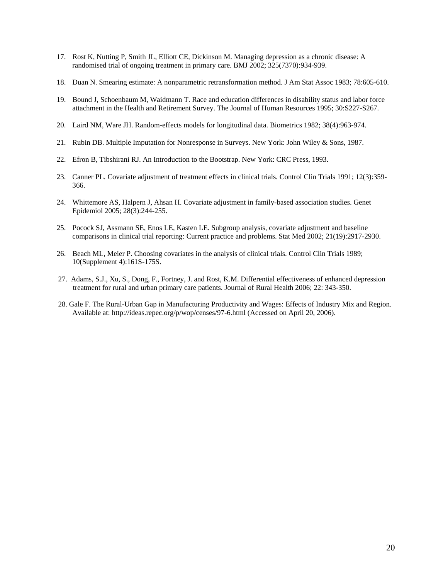- 17. Rost K, Nutting P, Smith JL, Elliott CE, Dickinson M. Managing depression as a chronic disease: A randomised trial of ongoing treatment in primary care. BMJ 2002; 325(7370):934-939.
- 18. Duan N. Smearing estimate: A nonparametric retransformation method. J Am Stat Assoc 1983; 78:605-610.
- 19. Bound J, Schoenbaum M, Waidmann T. Race and education differences in disability status and labor force attachment in the Health and Retirement Survey. The Journal of Human Resources 1995; 30:S227-S267.
- 20. Laird NM, Ware JH. Random-effects models for longitudinal data. Biometrics 1982; 38(4):963-974.
- 21. Rubin DB. Multiple Imputation for Nonresponse in Surveys. New York: John Wiley & Sons, 1987.
- 22. Efron B, Tibshirani RJ. An Introduction to the Bootstrap. New York: CRC Press, 1993.
- 23. Canner PL. Covariate adjustment of treatment effects in clinical trials. Control Clin Trials 1991; 12(3):359- 366.
- 24. Whittemore AS, Halpern J, Ahsan H. Covariate adjustment in family-based association studies. Genet Epidemiol 2005; 28(3):244-255.
- 25. Pocock SJ, Assmann SE, Enos LE, Kasten LE. Subgroup analysis, covariate adjustment and baseline comparisons in clinical trial reporting: Current practice and problems. Stat Med 2002; 21(19):2917-2930.
- 26. Beach ML, Meier P. Choosing covariates in the analysis of clinical trials. Control Clin Trials 1989; 10(Supplement 4):161S-175S.
- 27. Adams, S.J., Xu, S., Dong, F., Fortney, J. and Rost, K.M. Differential effectiveness of enhanced depression treatment for rural and urban primary care patients. Journal of Rural Health 2006; 22: 343-350.
- 28. Gale F. The Rural-Urban Gap in Manufacturing Productivity and Wages: Effects of Industry Mix and Region. Available at: http://ideas.repec.org/p/wop/censes/97-6.html (Accessed on April 20, 2006).